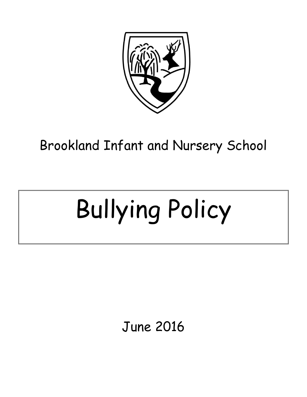

Brookland Infant and Nursery School

# Bullying Policy

June 2016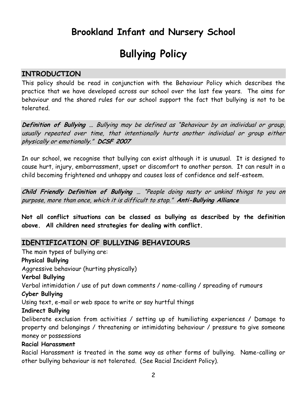# **Brookland Infant and Nursery School**

# **Bullying Policy**

#### **INTRODUCTION**

This policy should be read in conjunction with the Behaviour Policy which describes the practice that we have developed across our school over the last few years. The aims for behaviour and the shared rules for our school support the fact that bullying is not to be tolerated.

**Definition of Bullying …** Bullying may be defined as "Behaviour by an individual or group, usually repeated over time, that intentionally hurts another individual or group either physically or emotionally." **DCSF 2007**

In our school, we recognise that bullying can exist although it is unusual. It is designed to cause hurt, injury, embarrassment, upset or discomfort to another person. It can result in a child becoming frightened and unhappy and causes loss of confidence and self-esteem.

**Child Friendly Definition of Bullying …** "People doing nasty or unkind things to you on purpose, more than once, which it is difficult to stop." **Anti-Bullying Alliance**

**Not all conflict situations can be classed as bullying as described by the definition above. All children need strategies for dealing with conflict.** 

#### **IDENTIFICATION OF BULLYING BEHAVIOURS**

The main types of bullying are: **Physical Bullying** Aggressive behaviour (hurting physically) **Verbal Bullying** Verbal intimidation / use of put down comments / name-calling / spreading of rumours **Cyber Bullying** Using text, e-mail or web space to write or say hurtful things **Indirect Bullying** Deliberate exclusion from activities / setting up of humiliating experiences / Damage to property and belongings / threatening or intimidating behaviour / pressure to give someone money or possessions **Racial Harassment** Racial Harassment is treated in the same way as other forms of bullying. Name-calling or

other bullying behaviour is not tolerated. (See Racial Incident Policy).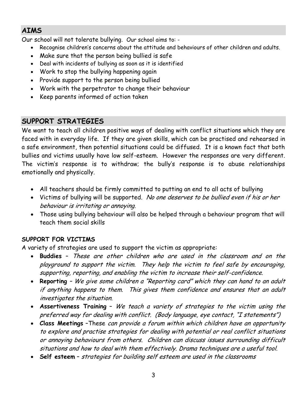# **AIMS**

Our school will not tolerate bullying. Our school aims to: -

- Recognise children's concerns about the attitude and behaviours of other children and adults.
- Make sure that the person being bullied is safe
- Deal with incidents of bullying as soon as it is identified
- Work to stop the bullying happening again
- Provide support to the person being bullied
- Work with the perpetrator to change their behaviour
- Keep parents informed of action taken

# **SUPPORT STRATEGIES**

We want to teach all children positive ways of dealing with conflict situations which they are faced with in everyday life. If they are given skills, which can be practised and rehearsed in a safe environment, then potential situations could be diffused. It is a known fact that both bullies and victims usually have low self-esteem. However the responses are very different. The victim's response is to withdraw; the bully's response is to abuse relationships emotionally and physically.

- All teachers should be firmly committed to putting an end to all acts of bullying
- Victims of bullying will be supported. No one deserves to be bullied even if his or her behaviour is irritating or annoying.
- Those using bullying behaviour will also be helped through a behaviour program that will teach them social skills

#### **SUPPORT FOR VICTIMS**

A variety of strategies are used to support the victim as appropriate:

- **Buddies** These are other children who are used in the classroom and on the playground to support the victim. They help the victim to feel safe by encouraging, supporting, reporting, and enabling the victim to increase their self-confidence.
- **Reporting** We give some children a "Reporting card" which they can hand to an adult if anything happens to them. This gives them confidence and ensures that an adult investigates the situation.
- **Assertiveness Training** We teach a variety of strategies to the victim using the preferred way for dealing with conflict. (Body language, eye contact, "I statements")
- **Class Meetings** –These can provide a forum within which children have an opportunity to explore and practise strategies for dealing with potential or real conflict situations or annoying behaviours from others. Children can discuss issues surrounding difficult situations and how to deal with them effectively. Drama techniques are a useful tool.
- **Self esteem** strategies for building self esteem are used in the classrooms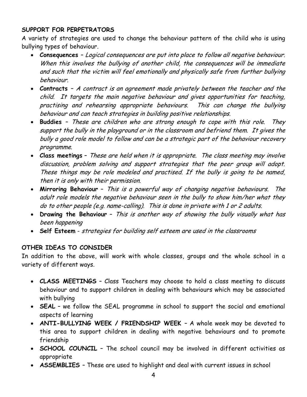#### **SUPPORT FOR PERPETRATORS**

A variety of strategies are used to change the behaviour pattern of the child who is using bullying types of behaviour.

- **Consequences**  Logical consequences are put into place to follow all negative behaviour. When this involves the bullying of another child, the consequences will be immediate and such that the victim will feel emotionally and physically safe from further bullying behaviour.
- **Contracts**  A contract is an agreement made privately between the teacher and the child. It targets the main negative behaviour and gives opportunities for teaching, practising and rehearsing appropriate behaviours. This can change the bullying behaviour and can teach strategies in building positive relationships.
- **Buddies**  These are children who are strong enough to cope with this role. They support the bully in the playground or in the classroom and befriend them. It gives the bully a good role model to follow and can be a strategic part of the behaviour recovery programme.
- **Class meetings** These are held when it is appropriate. The class meeting may involve discussion, problem solving and support strategies that the peer group will adopt. These things may be role modeled and practised. If the bully is going to be named, then it is only with their permission.
- **Mirroring Behaviour** This is a powerful way of changing negative behaviours. The adult role models the negative behaviour seen in the bully to show him/her what they do to other people (e.g. name-calling). This is done in private with 1 or 2 adults.
- **Drawing the Behaviour** This is another way of showing the bully visually what has been happening
- **Self Esteem** strategies for building self esteem are used in the classrooms

#### **OTHER IDEAS TO CONSIDER**

In addition to the above, will work with whole classes, groups and the whole school in a variety of different ways.

- **CLASS MEETINGS** Class Teachers may choose to hold a class meeting to discuss behaviour and to support children in dealing with behaviours which may be associated with bullying
- **SEAL** we follow the SEAL programme in school to support the social and emotional aspects of learning
- **ANTI-BULLYING WEEK / FRIENDSHIP WEEK**  A whole week may be devoted to this area to support children in dealing with negative behaviours and to promote friendship
- **SCHOOL COUNCIL** The school council may be involved in different activities as appropriate
- **ASSEMBLIES**  These are used to highlight and deal with current issues in school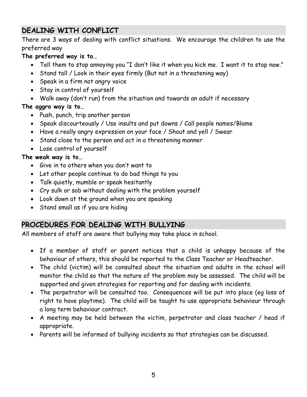# **DEALING WITH CONFLICT**

There are 3 ways of dealing with conflict situations. We encourage the children to use the preferred way

#### **The preferred way is to…**

- Tell them to stop annoying you "I don't like it when you kick me. I want it to stop now."
- Stand tall / Look in their eyes firmly (But not in a threatening way)
- Speak in a firm not angry voice
- Stay in control of yourself
- Walk away (don't run) from the situation and towards an adult if necessary

#### **The aggro way is to…**

- Push, punch, trip another person
- Speak discourteously / Use insults and put downs / Call people names/Blame
- Have a really angry expression on your face / Shout and yell / Swear
- Stand close to the person and act in a threatening manner
- Lose control of yourself

#### **The weak way is to…**

- Give in to others when you don't want to
- Let other people continue to do bad things to you
- Talk quietly, mumble or speak hesitantly
- Cry sulk or sob without dealing with the problem yourself
- Look down at the ground when you are speaking
- Stand small as if you are hiding

## **PROCEDURES FOR DEALING WITH BULLYING**

All members of staff are aware that bullying may take place in school.

- If a member of staff or parent notices that a child is unhappy because of the behaviour of others, this should be reported to the Class Teacher or Headteacher.
- The child (victim) will be consulted about the situation and adults in the school will monitor the child so that the nature of the problem may be assessed. The child will be supported and given strategies for reporting and for dealing with incidents.
- The perpetrator will be consulted too. Consequences will be put into place (eg loss of right to have playtime). The child will be taught to use appropriate behaviour through a long term behaviour contract.
- A meeting may be held between the victim, perpetrator and class teacher / head if appropriate.
- Parents will be informed of bullying incidents so that strategies can be discussed.